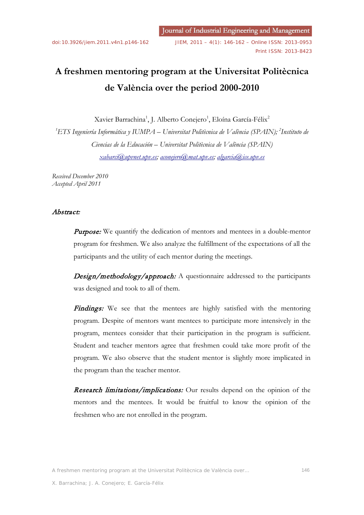# **A freshmen mentoring program at the Universitat Politècnica de València over the period 2000-2010**

Xavier Barrachina<sup>1</sup>, J. Alberto Conejero<sup>1</sup>, Eloína García-Félix<sup>2</sup>

*1 ETS Ingeniería Informática y IUMPA – Universitat Politècnica de València (SPAIN); 2 Instituto de Ciencias de la Educación – Universitat Politècnica de València (SPAIN) [xabarci@upvnet.upv.es;](mailto:xabarci@upvnet.upv.es) [aconejero@mat.upv.es;](mailto:aconejero@mat.upv.es) [algarcia@ice.upv.es](mailto:algarcia@ice.upv.es)*

*Received December 2010 Accepted April 2011*

# Abstract:

**Purpose:** We quantify the dedication of mentors and mentees in a double-mentor program for freshmen. We also analyze the fulfillment of the expectations of all the participants and the utility of each mentor during the meetings.

Design/methodology/approach: A questionnaire addressed to the participants was designed and took to all of them.

Findings: We see that the mentees are highly satisfied with the mentoring program. Despite of mentors want mentees to participate more intensively in the program, mentees consider that their participation in the program is sufficient. Student and teacher mentors agree that freshmen could take more profit of the program. We also observe that the student mentor is slightly more implicated in the program than the teacher mentor.

Research limitations/implications: Our results depend on the opinion of the mentors and the mentees. It would be fruitful to know the opinion of the freshmen who are not enrolled in the program.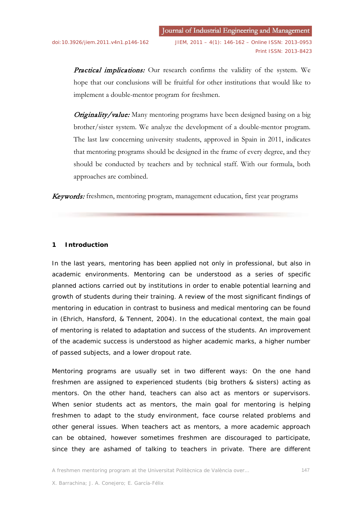Practical implications: Our research confirms the validity of the system. We hope that our conclusions will be fruitful for other institutions that would like to implement a double-mentor program for freshmen.

**Originality/value:** Many mentoring programs have been designed basing on a big brother/sister system. We analyze the development of a double-mentor program. The last law concerning university students, approved in Spain in 2011, indicates that mentoring programs should be designed in the frame of every degree, and they should be conducted by teachers and by technical staff. With our formula, both approaches are combined.

Keywords: freshmen, mentoring program, management education, first year programs

# **1 Introduction**

In the last years, mentoring has been applied not only in professional, but also in academic environments. Mentoring can be understood as a series of specific planned actions carried out by institutions in order to enable potential learning and growth of students during their training. A review of the most significant findings of mentoring in education in contrast to business and medical mentoring can be found in (Ehrich, Hansford, & Tennent, 2004). In the educational context, the main goal of mentoring is related to adaptation and success of the students. An improvement of the academic success is understood as higher academic marks, a higher number of passed subjects, and a lower dropout rate.

Mentoring programs are usually set in two different ways: On the one hand freshmen are assigned to experienced students (big brothers & sisters) acting as mentors. On the other hand, teachers can also act as mentors or supervisors. When senior students act as mentors, the main goal for mentoring is helping freshmen to adapt to the study environment, face course related problems and other general issues. When teachers act as mentors, a more academic approach can be obtained, however sometimes freshmen are discouraged to participate, since they are ashamed of talking to teachers in private. There are different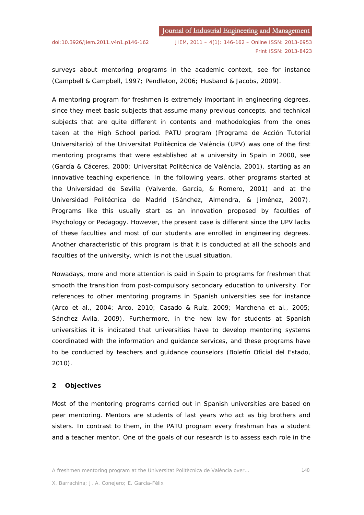surveys about mentoring programs in the academic context, see for instance (Campbell & Campbell, 1997; Pendleton, 2006; Husband & Jacobs, 2009).

A mentoring program for freshmen is extremely important in engineering degrees, since they meet basic subjects that assume many previous concepts, and technical subjects that are quite different in contents and methodologies from the ones taken at the High School period. PATU program (Programa de Acción Tutorial Universitario) of the Universitat Politècnica de València (UPV) was one of the first mentoring programs that were established at a university in Spain in 2000, see (García & Cáceres, 2000; Universitat Politècnica de València, 2001), starting as an innovative teaching experience. In the following years, other programs started at the Universidad de Sevilla (Valverde, García, & Romero, 2001) and at the Universidad Politécnica de Madrid (Sánchez, Almendra, & Jiménez, 2007). Programs like this usually start as an innovation proposed by faculties of Psychology or Pedagogy. However, the present case is different since the UPV lacks of these faculties and most of our students are enrolled in engineering degrees. Another characteristic of this program is that it is conducted at all the schools and faculties of the university, which is not the usual situation.

Nowadays, more and more attention is paid in Spain to programs for freshmen that smooth the transition from post-compulsory secondary education to university. For references to other mentoring programs in Spanish universities see for instance (Arco et al., 2004; Arco, 2010; Casado & Ruíz, 2009; Marchena et al., 2005; Sánchez Ávila, 2009). Furthermore, in the new law for students at Spanish universities it is indicated that universities have to develop mentoring systems coordinated with the information and guidance services, and these programs have to be conducted by teachers and guidance counselors (Boletín Oficial del Estado, 2010).

# **2 Objectives**

Most of the mentoring programs carried out in Spanish universities are based on peer mentoring. Mentors are students of last years who act as big brothers and sisters. In contrast to them, in the PATU program every freshman has a student and a teacher mentor. One of the goals of our research is to assess each role in the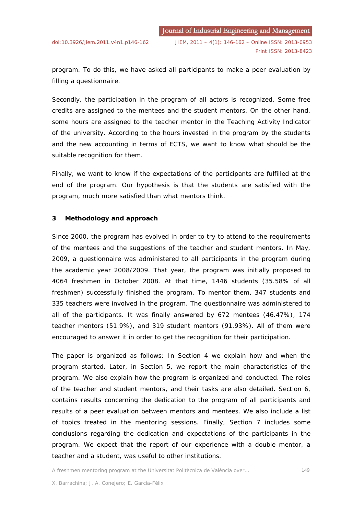program. To do this, we have asked all participants to make a peer evaluation by filling a questionnaire.

Secondly, the participation in the program of all actors is recognized. Some free credits are assigned to the mentees and the student mentors. On the other hand, some hours are assigned to the teacher mentor in the Teaching Activity Indicator of the university. According to the hours invested in the program by the students and the new accounting in terms of ECTS, we want to know what should be the suitable recognition for them.

Finally, we want to know if the expectations of the participants are fulfilled at the end of the program. Our hypothesis is that the students are satisfied with the program, much more satisfied than what mentors think.

#### **3 Methodology and approach**

Since 2000, the program has evolved in order to try to attend to the requirements of the mentees and the suggestions of the teacher and student mentors. In May, 2009, a questionnaire was administered to all participants in the program during the academic year 2008/2009. That year, the program was initially proposed to 4064 freshmen in October 2008. At that time, 1446 students (35.58% of all freshmen) successfully finished the program. To mentor them, 347 students and 335 teachers were involved in the program. The questionnaire was administered to all of the participants. It was finally answered by 672 mentees (46.47%), 174 teacher mentors (51.9%), and 319 student mentors (91.93%). All of them were encouraged to answer it in order to get the recognition for their participation.

The paper is organized as follows: In Section 4 we explain how and when the program started. Later, in Section 5, we report the main characteristics of the program. We also explain how the program is organized and conducted. The roles of the teacher and student mentors, and their tasks are also detailed. Section 6, contains results concerning the dedication to the program of all participants and results of a peer evaluation between mentors and mentees. We also include a list of topics treated in the mentoring sessions. Finally, Section 7 includes some conclusions regarding the dedication and expectations of the participants in the program. We expect that the report of our experience with a double mentor, a teacher and a student, was useful to other institutions.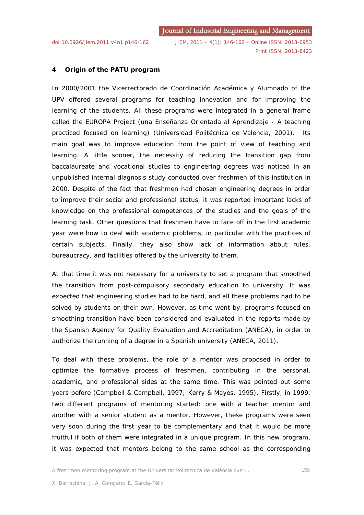Print ISSN: 2013-8423

# **4 Origin of the PATU program**

In 2000/2001 the Vicerrectorado de Coordinación Académica y Alumnado of the UPV offered several programs for teaching innovation and for improving the learning of the students. All these programs were integrated in a general frame called the EUROPA Project (*una Enseñanza Orientada al Aprendizaje - A teaching practiced focused on learning*) (Universidad Politécnica de Valencia, 2001). Its main goal was to improve education from the point of view of teaching and learning. A little sooner, the necessity of reducing the transition gap from baccalaureate and vocational studies to engineering degrees was noticed in an unpublished internal diagnosis study conducted over freshmen of this institution in 2000. Despite of the fact that freshmen had chosen engineering degrees in order to improve their social and professional status, it was reported important lacks of knowledge on the professional competences of the studies and the goals of the learning task. Other questions that freshmen have to face off in the first academic year were how to deal with academic problems, in particular with the practices of certain subjects. Finally, they also show lack of information about rules, bureaucracy, and facilities offered by the university to them.

At that time it was not necessary for a university to set a program that smoothed the transition from post-compulsory secondary education to university. It was expected that engineering studies had to be hard, and all these problems had to be solved by students on their own. However, as time went by, programs focused on smoothing transition have been considered and evaluated in the reports made by the Spanish Agency for Quality Evaluation and Accreditation (ANECA), in order to authorize the running of a degree in a Spanish university (ANECA, 2011).

To deal with these problems, the role of a mentor was proposed in order to optimize the formative process of freshmen, contributing in the personal, academic, and professional sides at the same time. This was pointed out some years before (Campbell & Campbell, 1997; Kerry & Mayes, 1995). Firstly, in 1999, two different programs of mentoring started: one with a teacher mentor and another with a senior student as a mentor. However, these programs were seen very soon during the first year to be complementary and that it would be more fruitful if both of them were integrated in a unique program. In this new program, it was expected that mentors belong to the same school as the corresponding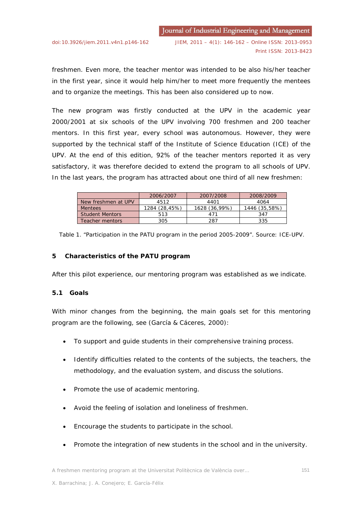freshmen. Even more, the teacher mentor was intended to be also his/her teacher in the first year, since it would help him/her to meet more frequently the mentees and to organize the meetings. This has been also considered up to now.

The new program was firstly conducted at the UPV in the academic year 2000/2001 at six schools of the UPV involving 700 freshmen and 200 teacher mentors. In this first year, every school was autonomous. However, they were supported by the technical staff of the Institute of Science Education (ICE) of the UPV. At the end of this edition, 92% of the teacher mentors reported it as very satisfactory, it was therefore decided to extend the program to all schools of UPV. In the last years, the program has attracted about one third of all new freshmen:

|                        | 2006/2007     | 2007/2008     | 2008/2009     |
|------------------------|---------------|---------------|---------------|
| New freshmen at UPV    | 4512          | 4401          | 4064          |
| <b>Mentees</b>         | 1284 (28,45%) | 1628 (36,99%) | 1446 (35,58%) |
| <b>Student Mentors</b> | 513           | 471           | 347           |
| Teacher mentors        | 305           | 287           | 335           |

Table 1. "Participation in the PATU program in the period 2005-2009". Source: ICE-UPV.

# **5 Characteristics of the PATU program**

After this pilot experience, our mentoring program was established as we indicate.

# **5.1 Goals**

With minor changes from the beginning, the main goals set for this mentoring program are the following, see (García & Cáceres, 2000):

- To support and guide students in their comprehensive training process.
- Identify difficulties related to the contents of the subjects, the teachers, the methodology, and the evaluation system, and discuss the solutions.
- Promote the use of academic mentoring.
- Avoid the feeling of isolation and loneliness of freshmen.
- Encourage the students to participate in the school.
- Promote the integration of new students in the school and in the university.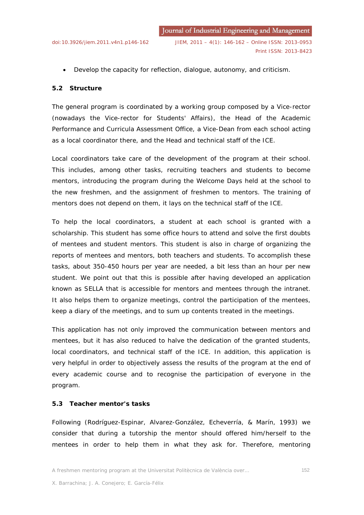• Develop the capacity for reflection, dialogue, autonomy, and criticism.

# **5.2 Structure**

The general program is coordinated by a working group composed by a Vice-rector (nowadays the Vice-rector for Students' Affairs), the Head of the Academic Performance and Curricula Assessment Office, a Vice-Dean from each school acting as a local coordinator there, and the Head and technical staff of the ICE.

Local coordinators take care of the development of the program at their school. This includes, among other tasks, recruiting teachers and students to become mentors, introducing the program during the Welcome Days held at the school to the new freshmen, and the assignment of freshmen to mentors. The training of mentors does not depend on them, it lays on the technical staff of the ICE.

To help the local coordinators, a student at each school is granted with a scholarship. This student has some office hours to attend and solve the first doubts of mentees and student mentors. This student is also in charge of organizing the reports of mentees and mentors, both teachers and students. To accomplish these tasks, about 350-450 hours per year are needed, a bit less than an hour per new student. We point out that this is possible after having developed an application known as SELLA that is accessible for mentors and mentees through the intranet. It also helps them to organize meetings, control the participation of the mentees, keep a diary of the meetings, and to sum up contents treated in the meetings.

This application has not only improved the communication between mentors and mentees, but it has also reduced to halve the dedication of the granted students, local coordinators, and technical staff of the ICE. In addition, this application is very helpful in order to objectively assess the results of the program at the end of every academic course and to recognise the participation of everyone in the program.

# **5.3 Teacher mentor's tasks**

Following (Rodríguez-Espinar, Alvarez-González, Echeverría, & Marín, 1993) we consider that during a tutorship the mentor should offered him/herself to the mentees in order to help them in what they ask for. Therefore, mentoring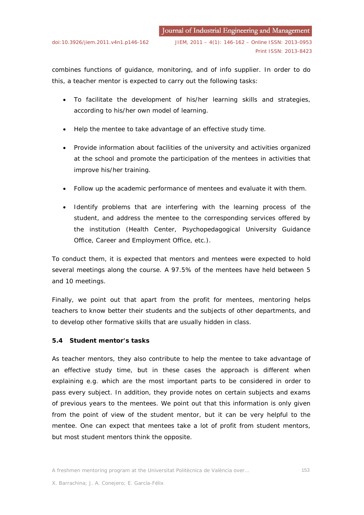combines functions of guidance, monitoring, and of info supplier. In order to do this, a teacher mentor is expected to carry out the following tasks:

- To facilitate the development of his/her learning skills and strategies, according to his/her own model of learning.
- Help the mentee to take advantage of an effective study time.
- Provide information about facilities of the university and activities organized at the school and promote the participation of the mentees in activities that improve his/her training.
- Follow up the academic performance of mentees and evaluate it with them.
- Identify problems that are interfering with the learning process of the student, and address the mentee to the corresponding services offered by the institution (Health Center, Psychopedagogical University Guidance Office, Career and Employment Office, etc.).

To conduct them, it is expected that mentors and mentees were expected to hold several meetings along the course. A 97.5% of the mentees have held between 5 and 10 meetings.

Finally, we point out that apart from the profit for mentees, mentoring helps teachers to know better their students and the subjects of other departments, and to develop other formative skills that are usually hidden in class.

# **5.4 Student mentor's tasks**

As teacher mentors, they also contribute to help the mentee to take advantage of an effective study time, but in these cases the approach is different when explaining e.g. which are the most important parts to be considered in order to pass every subject. In addition, they provide notes on certain subjects and exams of previous years to the mentees. We point out that this information is only given from the point of view of the student mentor, but it can be very helpful to the mentee. One can expect that mentees take a lot of profit from student mentors, but most student mentors think the opposite.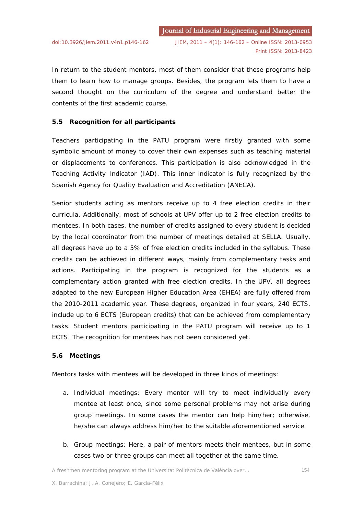In return to the student mentors, most of them consider that these programs help them to learn how to manage groups. Besides, the program lets them to have a second thought on the curriculum of the degree and understand better the contents of the first academic course.

# **5.5 Recognition for all participants**

Teachers participating in the PATU program were firstly granted with some symbolic amount of money to cover their own expenses such as teaching material or displacements to conferences. This participation is also acknowledged in the Teaching Activity Indicator (IAD). This inner indicator is fully recognized by the Spanish Agency for Quality Evaluation and Accreditation (ANECA).

Senior students acting as mentors receive up to 4 free election credits in their curricula. Additionally, most of schools at UPV offer up to 2 free election credits to mentees. In both cases, the number of credits assigned to every student is decided by the local coordinator from the number of meetings detailed at SELLA. Usually, all degrees have up to a 5% of free election credits included in the syllabus. These credits can be achieved in different ways, mainly from complementary tasks and actions. Participating in the program is recognized for the students as a complementary action granted with free election credits. In the UPV, all degrees adapted to the new European Higher Education Area (EHEA) are fully offered from the 2010-2011 academic year. These degrees, organized in four years, 240 ECTS, include up to 6 ECTS (European credits) that can be achieved from complementary tasks. Student mentors participating in the PATU program will receive up to 1 ECTS. The recognition for mentees has not been considered yet.

#### **5.6 Meetings**

Mentors tasks with mentees will be developed in three kinds of meetings:

- a. *Individual meetings*: Every mentor will try to meet individually every mentee at least once, since some personal problems may not arise during group meetings. In some cases the mentor can help him/her; otherwise, he/she can always address him/her to the suitable aforementioned service.
- b. *Group meetings*: Here, a pair of mentors meets their mentees, but in some cases two or three groups can meet all together at the same time.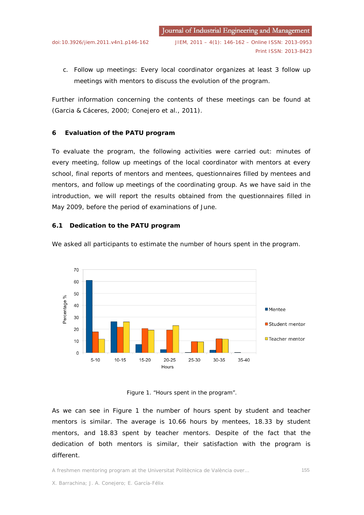c. *Follow up meetings*: Every local coordinator organizes at least 3 follow up meetings with mentors to discuss the evolution of the program.

Further information concerning the contents of these meetings can be found at (Garcia & Cáceres, 2000; Conejero et al., 2011).

#### **6 Evaluation of the PATU program**

To evaluate the program, the following activities were carried out: minutes of every meeting, follow up meetings of the local coordinator with mentors at every school, final reports of mentors and mentees, questionnaires filled by mentees and mentors, and follow up meetings of the coordinating group. As we have said in the introduction, we will report the results obtained from the questionnaires filled in May 2009, before the period of examinations of June.

#### <span id="page-9-0"></span>**6.1 Dedication to the PATU program**



We asked all participants to estimate the number of hours spent in the program.

#### Figure 1. "Hours spent in the program".

As we can see in Figure 1 the number of hours spent by student and teacher mentors is similar. The average is 10.66 hours by mentees, 18.33 by student mentors, and 18.83 spent by teacher mentors. Despite of the fact that the dedication of both mentors is similar, their satisfaction with the program is different.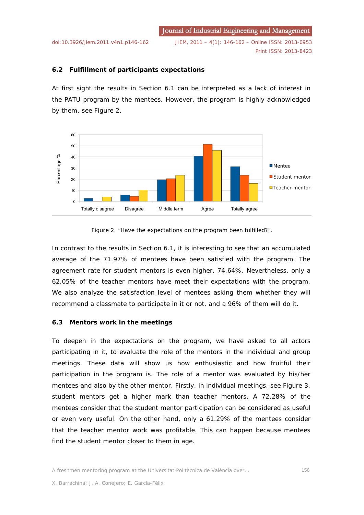Journal of Industrial Engineering and Management [doi:10.3926/jiem.2011.v4n1.p146-162](http://dx.doi.org/10.3926/jiem.2011.v4n1.p146-162) JIEM, 2011 – 4(1): 146-162 – Online ISSN: 2013-0953 Print ISSN: 2013-8423

# **6.2 Fulfillment of participants expectations**

At first sight the results in Section [6.1](#page-9-0) can be interpreted as a lack of interest in the PATU program by the mentees. However, the program is highly acknowledged by them, see Figure 2.



#### Figure 2. "Have the expectations on the program been fulfilled?".

In contrast to the results in Section [6.1,](#page-9-0) it is interesting to see that an accumulated average of the 71.97% of mentees have been satisfied with the program. The agreement rate for student mentors is even higher, 74.64%. Nevertheless, only a 62.05% of the teacher mentors have meet their expectations with the program. We also analyze the satisfaction level of mentees asking them whether they will recommend a classmate to participate in it or not, and a 96% of them will do it.

# **6.3 Mentors work in the meetings**

To deepen in the expectations on the program, we have asked to all actors participating in it, to evaluate the role of the mentors in the individual and group meetings. These data will show us how enthusiastic and how fruitful their participation in the program is. The role of a mentor was evaluated by his/her mentees and also by the other mentor. Firstly, in individual meetings, see Figure 3, student mentors get a higher mark than teacher mentors. A 72.28% of the mentees consider that the student mentor participation can be considered as useful or even very useful. On the other hand, only a 61.29% of the mentees consider that the teacher mentor work was profitable. This can happen because mentees find the student mentor closer to them in age.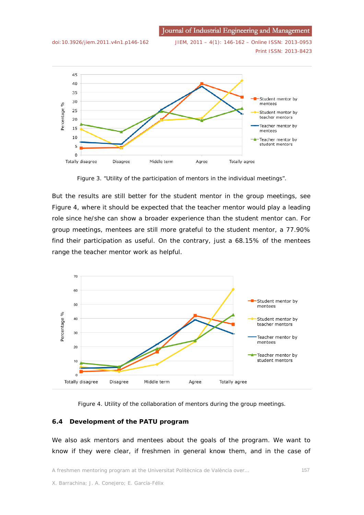Journal of Industrial Engineering and Management



[doi:10.3926/jiem.2011.v4n1.p146-162](http://dx.doi.org/10.3926/jiem.2011.v4n1.p146-162) JIEM, 2011 – 4(1): 146-162 – Online ISSN: 2013-0953 Print ISSN: 2013-8423



Figure 3. "Utility of the participation of mentors in the individual meetings".

But the results are still better for the student mentor in the group meetings, see Figure 4, where it should be expected that the teacher mentor would play a leading role since he/she can show a broader experience than the student mentor can. For group meetings, mentees are still more grateful to the student mentor, a 77.90% find their participation as useful. On the contrary, just a 68.15% of the mentees range the teacher mentor work as helpful.



Figure 4. Utility of the collaboration of mentors during the group meetings.

# **6.4 Development of the PATU program**

We also ask mentors and mentees about the goals of the program. We want to know if they were clear, if freshmen in general know them, and in the case of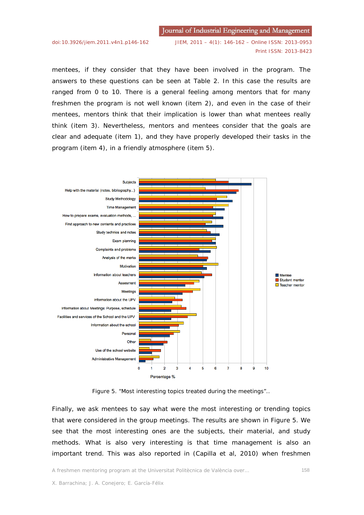Journal of Industrial Engineering and Management

[doi:10.3926/jiem.2011.v4n1.p146-162](http://dx.doi.org/10.3926/jiem.2011.v4n1.p146-162) JIEM, 2011 – 4(1): 146-162 – Online ISSN: 2013-0953 Print ISSN: 2013-8423

mentees, if they consider that they have been involved in the program. The answers to these questions can be seen at Table 2. In this case the results are ranged from 0 to 10. There is a general feeling among mentors that for many freshmen the program is not well known (item 2), and even in the case of their mentees, mentors think that their implication is lower than what mentees really think (item 3). Nevertheless, mentors and mentees consider that the goals are clear and adequate (item 1), and they have properly developed their tasks in the program (item 4), in a friendly atmosphere (item 5).



Figure 5. "Most interesting topics treated during the meetings"..

Finally, we ask mentees to say what were the most interesting or trending topics that were considered in the group meetings. The results are shown in Figure 5. We see that the most interesting ones are the subjects, their material, and study methods. What is also very interesting is that time management is also an important trend. This was also reported in (Capilla et al, 2010) when freshmen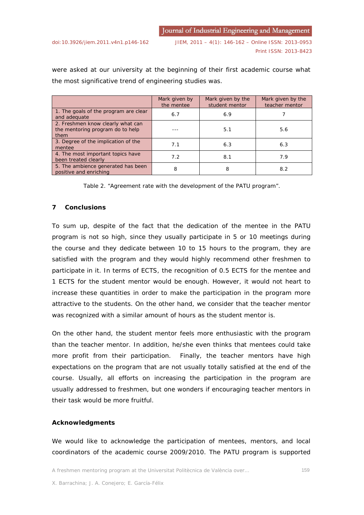were asked at our university at the beginning of their first academic course what the most significative trend of engineering studies was.

|                                                                               | Mark given by<br>the mentee | Mark given by the<br>student mentor | Mark given by the<br>teacher mentor |
|-------------------------------------------------------------------------------|-----------------------------|-------------------------------------|-------------------------------------|
| 1. The goals of the program are clear<br>and adequate                         | 6.7                         | 6.9                                 |                                     |
| 2. Freshmen know clearly what can<br>the mentoring program do to help<br>them |                             | 5.1                                 | 5.6                                 |
| 3. Degree of the implication of the<br>mentee                                 | 7.1                         | 6.3                                 | 6.3                                 |
| 4. The most important topics have<br>been treated clearly                     | 7.2                         | 8.1                                 | 7.9                                 |
| 5. The ambience generated has been<br>positive and enriching                  | 8                           | 8                                   | 8.2                                 |

Table 2. "Agreement rate with the development of the PATU program".

#### **7 Conclusions**

To sum up, despite of the fact that the dedication of the mentee in the PATU program is not so high, since they usually participate in 5 or 10 meetings during the course and they dedicate between 10 to 15 hours to the program, they are satisfied with the program and they would highly recommend other freshmen to participate in it. In terms of ECTS, the recognition of 0.5 ECTS for the mentee and 1 ECTS for the student mentor would be enough. However, it would not heart to increase these quantities in order to make the participation in the program more attractive to the students. On the other hand, we consider that the teacher mentor was recognized with a similar amount of hours as the student mentor is.

On the other hand, the student mentor feels more enthusiastic with the program than the teacher mentor. In addition, he/she even thinks that mentees could take more profit from their participation. Finally, the teacher mentors have high expectations on the program that are not usually totally satisfied at the end of the course. Usually, all efforts on increasing the participation in the program are usually addressed to freshmen, but one wonders if encouraging teacher mentors in their task would be more fruitful.

# **Acknowledgments**

We would like to acknowledge the participation of mentees, mentors, and local coordinators of the academic course 2009/2010. The PATU program is supported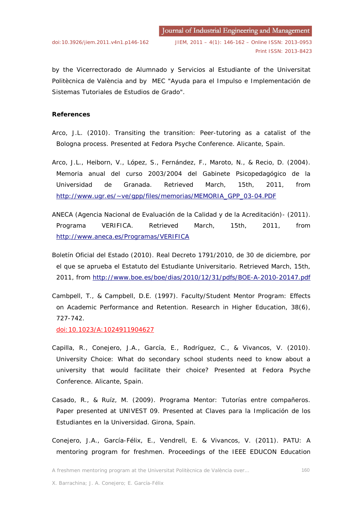by the Vicerrectorado de Alumnado y Servicios al Estudiante of the Universitat Politècnica de València and by MEC "Ayuda para el Impulso e Implementación de Sistemas Tutoriales de Estudios de Grado".

#### **References**

- Arco, J.L. (2010). *Transiting the transition: Peer-tutoring as a catalist of the Bologna process*. Presented at Fedora Psyche Conference. Alicante, Spain.
- Arco, J.L., Heiborn, V., López, S., Fernández, F., Maroto, N., & Recio, D. (2004). *Memoria anual del curso 2003/2004 del Gabinete Psicopedagógico de la Universidad de Granada*. Retrieved March, 15th, 2011, from [http://www.ugr.es/~ve/gpp/files/memorias/MEMORIA\\_GPP\\_03-04.PDF](http://www.ugr.es/~ve/gpp/files/memorias/MEMORIA_GPP_03-04.PDF)
- ANECA (Agencia Nacional de Evaluación de la Calidad y de la Acreditación)- (2011). *Programa VERIFICA*. Retrieved March, 15th, 2011, from <http://www.aneca.es/Programas/VERIFICA>
- Boletín Oficial del Estado (2010). *Real Decreto 1791/2010, de 30 de diciembre, por el que se aprueba el Estatuto del Estudiante Universitario*. Retrieved March, 15th, 2011, from<http://www.boe.es/boe/dias/2010/12/31/pdfs/BOE-A-2010-20147.pdf>
- Cambpell, T., & Campbell, D.E. (1997). Faculty/Student Mentor Program: Effects on Academic Performance and Retention. *Research in Higher Education*, 38(6), 727-742.

[doi:10.1023/A:1024911904627](http://dx.doi.org/10.1023/A:1024911904627)

- Capilla, R., Conejero, J.A., García, E., Rodríguez, C., & Vivancos, V. (2010). *University Choice: What do secondary school students need to know about a university that would facilitate their choice?* Presented at Fedora Psyche Conference. Alicante, Spain.
- Casado, R., & Ruíz, M. (2009). *Programa Mentor: Tutorías entre compañeros. Paper presented at UNIVEST 09*. Presented at Claves para la Implicación de los Estudiantes en la Universidad. Girona, Spain.
- Conejero, J.A., García-Félix, E., Vendrell, E. & Vivancos, V. (2011). *PATU: A mentoring program for freshmen*. Proceedings of the IEEE EDUCON Education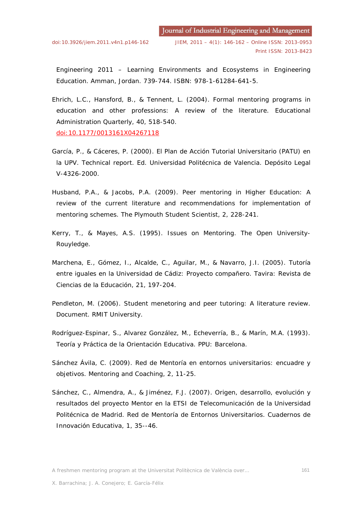Engineering 2011 – Learning Environments and Ecosystems in Engineering Education. Amman, Jordan. 739-744. ISBN: 978-1-61284-641-5.

- Ehrich, L.C., Hansford, B., & Tennent, L. (2004). Formal mentoring programs in education and other professions: A review of the literature. *Educational Administration Quarterly*, 40, 518-540. [doi:10.1177/0013161X04267118](http://dx.doi.org/10.1177/0013161X04267118)
- García, P., & Cáceres, P. (2000). *El Plan de Acción Tutorial Universitario (PATU) en la UPV*. Technical report. Ed. Universidad Politécnica de Valencia. Depósito Legal V-4326-2000.
- Husband, P.A., & Jacobs, P.A. (2009). Peer mentoring in Higher Education: A review of the current literature and recommendations for implementation of mentoring schemes. *The Plymouth Student Scientist*, 2, 228-241.
- Kerry, T., & Mayes, A.S. (1995). *Issues on Mentoring*. The Open University-Rouyledge.
- Marchena, E., Gómez, I., Alcalde, C., Aguilar, M., & Navarro, J.I. (2005). Tutoría entre iguales en la Universidad de Cádiz: Proyecto compañero. *Tavira: Revista de Ciencias de la Educación*, 21, 197-204.
- Pendleton, M. (2006). *Student menetoring and peer tutoring: A literature review.* Document. RMIT University.
- Rodríguez-Espinar, S., Alvarez González, M., Echeverría, B., & Marín, M.A. (1993). *Teoría y Práctica de la Orientación Educativa*. PPU: Barcelona.
- Sánchez Ávila, C. (2009). Red de Mentoría en entornos universitarios: encuadre y objetivos. *Mentoring and Coaching*, 2, 11-25.
- Sánchez, C., Almendra, A., & Jiménez, F.J. (2007). Origen, desarrollo, evolución y resultados del proyecto Mentor en la ETSI de Telecomunicación de la Universidad Politécnica de Madrid. Red de Mentoría de Entornos Universitarios*. Cuadernos de Innovación Educativa*, 1, 35--46.